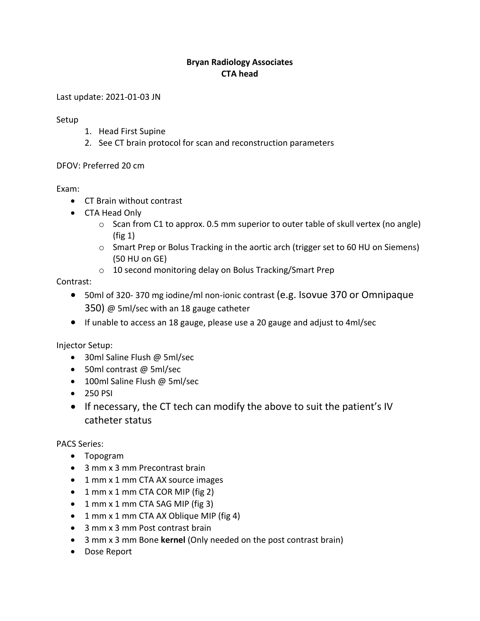## **Bryan Radiology Associates CTA head**

Last update: 2021-01-03 JN

Setup

- 1. Head First Supine
- 2. See CT brain protocol for scan and reconstruction parameters

DFOV: Preferred 20 cm

Exam:

- CT Brain without contrast
- CTA Head Only
	- o Scan from C1 to approx. 0.5 mm superior to outer table of skull vertex (no angle) (fig 1)
	- o Smart Prep or Bolus Tracking in the aortic arch (trigger set to 60 HU on Siemens) (50 HU on GE)
	- o 10 second monitoring delay on Bolus Tracking/Smart Prep

Contrast:

- 50ml of 320- 370 mg iodine/ml non-ionic contrast (e.g. Isovue 370 or Omnipaque 350) @ 5ml/sec with an 18 gauge catheter
- If unable to access an 18 gauge, please use a 20 gauge and adjust to 4ml/sec

Injector Setup:

- 30ml Saline Flush @ 5ml/sec
- 50ml contrast @ 5ml/sec
- 100ml Saline Flush @ 5ml/sec
- 250 PSI
- If necessary, the CT tech can modify the above to suit the patient's IV catheter status

PACS Series:

- Topogram
- 3 mm x 3 mm Precontrast brain
- 1 mm x 1 mm CTA AX source images
- 1 mm x 1 mm CTA COR MIP (fig 2)
- 1 mm x 1 mm CTA SAG MIP (fig 3)
- 1 mm x 1 mm CTA AX Oblique MIP (fig 4)
- 3 mm x 3 mm Post contrast brain
- 3 mm x 3 mm Bone **kernel** (Only needed on the post contrast brain)
- Dose Report